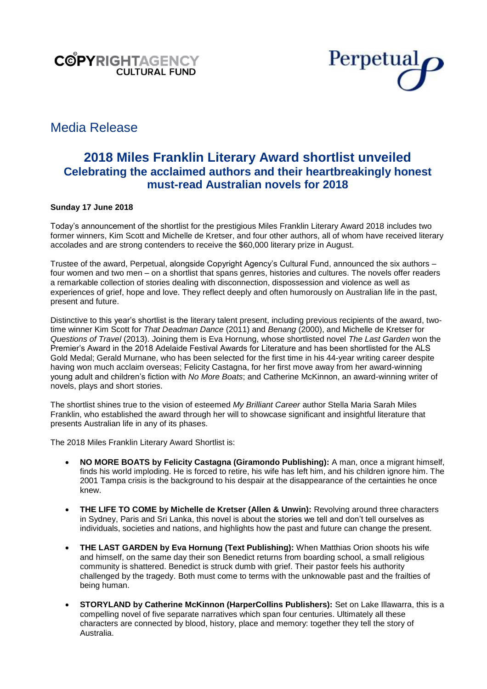



# Media Release

# **2018 Miles Franklin Literary Award shortlist unveiled Celebrating the acclaimed authors and their heartbreakingly honest must-read Australian novels for 2018**

# **Sunday 17 June 2018**

Today's announcement of the shortlist for the prestigious Miles Franklin Literary Award 2018 includes two former winners, Kim Scott and Michelle de Kretser, and four other authors, all of whom have received literary accolades and are strong contenders to receive the \$60,000 literary prize in August.

Trustee of the award, Perpetual, alongside Copyright Agency's Cultural Fund, announced the six authors – four women and two men – on a shortlist that spans genres, histories and cultures. The novels offer readers a remarkable collection of stories dealing with disconnection, dispossession and violence as well as experiences of grief, hope and love. They reflect deeply and often humorously on Australian life in the past, present and future.

Distinctive to this year's shortlist is the literary talent present, including previous recipients of the award, twotime winner Kim Scott for *That Deadman Dance* (2011) and *Benang* (2000), and Michelle de Kretser for *Questions of Travel* (2013). Joining them is Eva Hornung, whose shortlisted novel *The Last Garden* won the Premier's Award in the 2018 Adelaide Festival Awards for Literature and has been shortlisted for the ALS Gold Medal; Gerald Murnane, who has been selected for the first time in his 44-year writing career despite having won much acclaim overseas; Felicity Castagna, for her first move away from her award-winning young adult and children's fiction with *No More Boats*; and Catherine McKinnon, an award-winning writer of novels, plays and short stories.

The shortlist shines true to the vision of esteemed *My Brilliant Career* author Stella Maria Sarah Miles Franklin, who established the award through her will to showcase significant and insightful literature that presents Australian life in any of its phases.

The 2018 Miles Franklin Literary Award Shortlist is:

- **NO MORE BOATS by Felicity Castagna (Giramondo Publishing):** A man, once a migrant himself, finds his world imploding. He is forced to retire, his wife has left him, and his children ignore him. The 2001 Tampa crisis is the background to his despair at the disappearance of the certainties he once knew.
- **THE LIFE TO COME by Michelle de Kretser (Allen & Unwin):** Revolving around three characters in Sydney, Paris and Sri Lanka, this novel is about the stories we tell and don't tell ourselves as individuals, societies and nations, and highlights how the past and future can change the present.
- **THE LAST GARDEN by Eva Hornung (Text Publishing):** When Matthias Orion shoots his wife and himself, on the same day their son Benedict returns from boarding school, a small religious community is shattered. Benedict is struck dumb with grief. Their pastor feels his authority challenged by the tragedy. Both must come to terms with the unknowable past and the frailties of being human.
- **STORYLAND by Catherine McKinnon (HarperCollins Publishers):** Set on Lake Illawarra, this is a compelling novel of five separate narratives which span four centuries. Ultimately all these characters are connected by blood, history, place and memory: together they tell the story of Australia.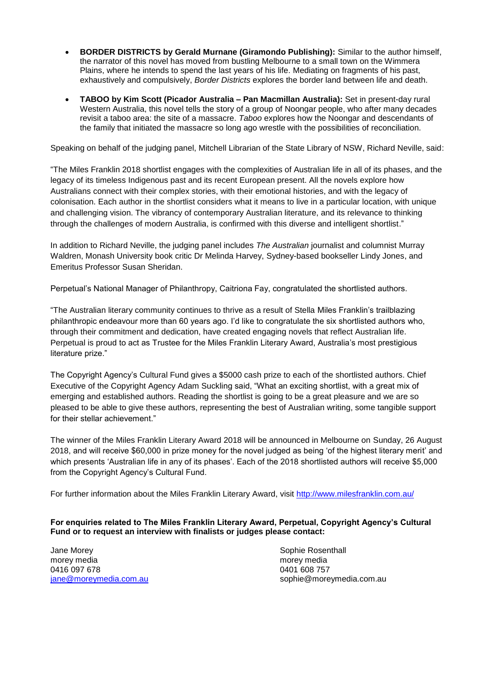- **BORDER DISTRICTS by Gerald Murnane (Giramondo Publishing):** Similar to the author himself, the narrator of this novel has moved from bustling Melbourne to a small town on the Wimmera Plains, where he intends to spend the last years of his life. Mediating on fragments of his past, exhaustively and compulsively, *Border Districts* explores the border land between life and death.
- **TABOO by Kim Scott (Picador Australia – Pan Macmillan Australia):** Set in present-day rural Western Australia, this novel tells the story of a group of Noongar people, who after many decades revisit a taboo area: the site of a massacre. *Taboo* explores how the Noongar and descendants of the family that initiated the massacre so long ago wrestle with the possibilities of reconciliation.

Speaking on behalf of the judging panel, Mitchell Librarian of the State Library of NSW, Richard Neville, said:

"The Miles Franklin 2018 shortlist engages with the complexities of Australian life in all of its phases, and the legacy of its timeless Indigenous past and its recent European present. All the novels explore how Australians connect with their complex stories, with their emotional histories, and with the legacy of colonisation. Each author in the shortlist considers what it means to live in a particular location, with unique and challenging vision. The vibrancy of contemporary Australian literature, and its relevance to thinking through the challenges of modern Australia, is confirmed with this diverse and intelligent shortlist."

In addition to Richard Neville, the judging panel includes *The Australian* journalist and columnist Murray Waldren, Monash University book critic Dr Melinda Harvey, Sydney-based bookseller Lindy Jones, and Emeritus Professor Susan Sheridan.

Perpetual's National Manager of Philanthropy, Caitriona Fay, congratulated the shortlisted authors.

"The Australian literary community continues to thrive as a result of Stella Miles Franklin's trailblazing philanthropic endeavour more than 60 years ago. I'd like to congratulate the six shortlisted authors who, through their commitment and dedication, have created engaging novels that reflect Australian life. Perpetual is proud to act as Trustee for the Miles Franklin Literary Award, Australia's most prestigious literature prize."

The Copyright Agency's Cultural Fund gives a \$5000 cash prize to each of the shortlisted authors. Chief Executive of the Copyright Agency Adam Suckling said, "What an exciting shortlist, with a great mix of emerging and established authors. Reading the shortlist is going to be a great pleasure and we are so pleased to be able to give these authors, representing the best of Australian writing, some tangible support for their stellar achievement."

The winner of the Miles Franklin Literary Award 2018 will be announced in Melbourne on Sunday, 26 August 2018, and will receive \$60,000 in prize money for the novel judged as being 'of the highest literary merit' and which presents 'Australian life in any of its phases'. Each of the 2018 shortlisted authors will receive \$5,000 from the Copyright Agency's Cultural Fund.

For further information about the Miles Franklin Literary Award, visit<http://www.milesfranklin.com.au/>

**For enquiries related to The Miles Franklin Literary Award, Perpetual, Copyright Agency's Cultural Fund or to request an interview with finalists or judges please contact:**

Jane Morey **Sophie Rosenthall** morey media morey media 0416 097 678 0401 608 757

[jane@moreymedia.com.au](mailto:jane@moreymedia.com.au) sophie@moreymedia.com.au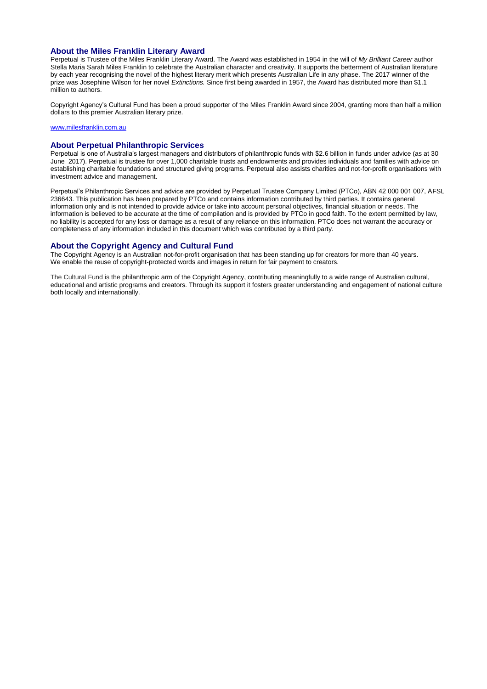#### **About the Miles Franklin Literary Award**

Perpetual is Trustee of the Miles Franklin Literary Award. The Award was established in 1954 in the will of *My Brilliant Career* author Stella Maria Sarah Miles Franklin to celebrate the Australian character and creativity. It supports the betterment of Australian literature by each year recognising the novel of the highest literary merit which presents Australian Life in any phase. The 2017 winner of the prize was Josephine Wilson for her novel *Extinctions.* Since first being awarded in 1957, the Award has distributed more than \$1.1 million to authors.

Copyright Agency's Cultural Fund has been a proud supporter of the Miles Franklin Award since 2004, granting more than half a million dollars to this premier Australian literary prize.

#### [www.milesfranklin.com.au](http://www.milesfranklin.com.au/)

#### **About Perpetual Philanthropic Services**

Perpetual is one of Australia's largest managers and distributors of philanthropic funds with \$2.6 billion in funds under advice (as at 30 June 2017). Perpetual is trustee for over 1,000 charitable trusts and endowments and provides individuals and families with advice on establishing charitable foundations and structured giving programs. Perpetual also assists charities and not-for-profit organisations with investment advice and management.

Perpetual's Philanthropic Services and advice are provided by Perpetual Trustee Company Limited (PTCo), ABN 42 000 001 007, AFSL 236643. This publication has been prepared by PTCo and contains information contributed by third parties. It contains general information only and is not intended to provide advice or take into account personal objectives, financial situation or needs. The information is believed to be accurate at the time of compilation and is provided by PTCo in good faith. To the extent permitted by law, no liability is accepted for any loss or damage as a result of any reliance on this information. PTCo does not warrant the accuracy or completeness of any information included in this document which was contributed by a third party.

#### **About the Copyright Agency and Cultural Fund**

The Copyright Agency is an Australian not-for-profit organisation that has been standing up for creators for more than 40 years. We enable the reuse of copyright-protected words and images in return for fair payment to creators.

The Cultural Fund is the philanthropic arm of the Copyright Agency, contributing meaningfully to a wide range of Australian cultural, educational and artistic programs and creators. Through its support it fosters greater understanding and engagement of national culture both locally and internationally.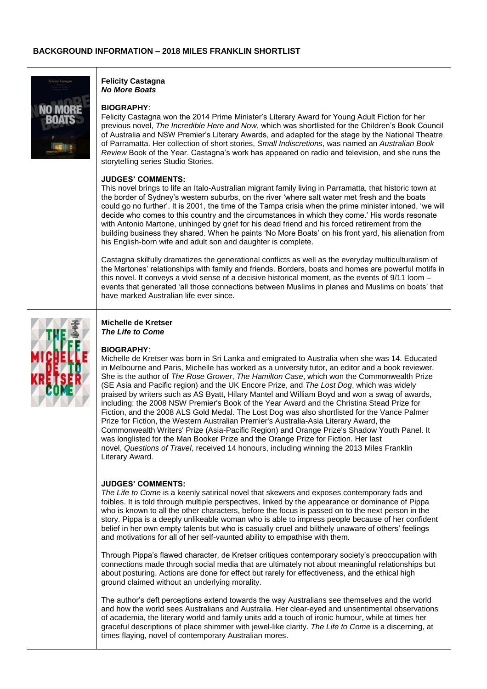

**Felicity Castagna**  *No More Boats* 

## **BIOGRAPHY**:

Felicity Castagna won the 2014 Prime Minister's Literary Award for Young Adult Fiction for her previous novel, *The Incredible Here and Now*, which was shortlisted for the Children's Book Council of Australia and NSW Premier's Literary Awards, and adapted for the stage by the National Theatre of Parramatta. Her collection of short stories, *Small Indiscretions*, was named an *Australian Book Review* Book of the Year. Castagna's work has appeared on radio and television, and she runs the storytelling series Studio Stories.

#### **JUDGES' COMMENTS:**

This novel brings to life an Italo-Australian migrant family living in Parramatta, that historic town at the border of Sydney's western suburbs, on the river 'where salt water met fresh and the boats could go no further'. It is 2001, the time of the Tampa crisis when the prime minister intoned, 'we will decide who comes to this country and the circumstances in which they come.' His words resonate with Antonio Martone, unhinged by grief for his dead friend and his forced retirement from the building business they shared. When he paints 'No More Boats' on his front yard, his alienation from his English-born wife and adult son and daughter is complete.

Castagna skilfully dramatizes the generational conflicts as well as the everyday multiculturalism of the Martones' relationships with family and friends. Borders, boats and homes are powerful motifs in this novel. It conveys a vivid sense of a decisive historical moment, as the events of 9/11 loom – events that generated 'all those connections between Muslims in planes and Muslims on boats' that have marked Australian life ever since.



#### **Michelle de Kretser**  *The Life to Come*

#### **BIOGRAPHY**:

Michelle de Kretser was born in Sri Lanka and emigrated to Australia when she was 14. Educated in Melbourne and Paris, Michelle has worked as a university tutor, an editor and a book reviewer. She is the author of *The Rose Grower*, *The Hamilton Case*, which won the Commonwealth Prize (SE Asia and Pacific region) and the UK Encore Prize, and *The Lost Dog*, which was widely praised by writers such as AS Byatt, Hilary Mantel and William Boyd and won a swag of awards, including: the 2008 NSW Premier's Book of the Year Award and the Christina Stead Prize for Fiction, and the 2008 ALS Gold Medal. The Lost Dog was also shortlisted for the Vance Palmer Prize for Fiction, the Western Australian Premier's Australia-Asia Literary Award, the Commonwealth Writers' Prize (Asia-Pacific Region) and Orange Prize's Shadow Youth Panel. It was longlisted for the Man Booker Prize and the Orange Prize for Fiction. Her last novel, *Questions of Travel*, received 14 honours, including winning the 2013 Miles Franklin Literary Award.

### **JUDGES' COMMENTS:**

*The Life to Come* is a keenly satirical novel that skewers and exposes contemporary fads and foibles. It is told through multiple perspectives, linked by the appearance or dominance of Pippa who is known to all the other characters, before the focus is passed on to the next person in the story. Pippa is a deeply unlikeable woman who is able to impress people because of her confident belief in her own empty talents but who is casually cruel and blithely unaware of others' feelings and motivations for all of her self-vaunted ability to empathise with them.

Through Pippa's flawed character, de Kretser critiques contemporary society's preoccupation with connections made through social media that are ultimately not about meaningful relationships but about posturing. Actions are done for effect but rarely for effectiveness, and the ethical high ground claimed without an underlying morality.

The author's deft perceptions extend towards the way Australians see themselves and the world and how the world sees Australians and Australia. Her clear-eyed and unsentimental observations of academia, the literary world and family units add a touch of ironic humour, while at times her graceful descriptions of place shimmer with jewel-like clarity. *The Life to Come* is a discerning, at times flaying, novel of contemporary Australian mores.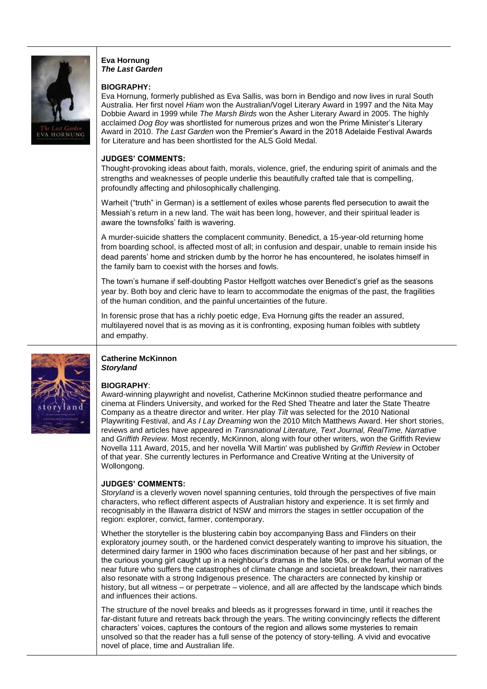

## **Eva Hornung** *The Last Garden*

### **BIOGRAPHY:**

Eva Hornung, formerly published as Eva Sallis, was born in Bendigo and now lives in rural South Australia. Her first novel *Hiam* won the Australian/Vogel Literary Award in 1997 and the Nita May Dobbie Award in 1999 while *The Marsh Birds* won the Asher Literary Award in 2005. The highly acclaimed *Dog Boy* was shortlisted for numerous prizes and won the Prime Minister's Literary Award in 2010. *The Last Garden* won the Premier's Award in the 2018 Adelaide Festival Awards for Literature and has been shortlisted for the ALS Gold Medal.

# **JUDGES' COMMENTS:**

Thought-provoking ideas about faith, morals, violence, grief, the enduring spirit of animals and the strengths and weaknesses of people underlie this beautifully crafted tale that is compelling, profoundly affecting and philosophically challenging.

Warheit ("truth" in German) is a settlement of exiles whose parents fled persecution to await the Messiah's return in a new land. The wait has been long, however, and their spiritual leader is aware the townsfolks' faith is wavering.

A murder-suicide shatters the complacent community. Benedict, a 15-year-old returning home from boarding school, is affected most of all; in confusion and despair, unable to remain inside his dead parents' home and stricken dumb by the horror he has encountered, he isolates himself in the family barn to coexist with the horses and fowls.

The town's humane if self-doubting Pastor Helfgott watches over Benedict's grief as the seasons year by. Both boy and cleric have to learn to accommodate the enigmas of the past, the fragilities of the human condition, and the painful uncertainties of the future.

In forensic prose that has a richly poetic edge, Eva Hornung gifts the reader an assured, multilayered novel that is as moving as it is confronting, exposing human foibles with subtlety and empathy.



## **Catherine McKinnon** *Storyland*

# **BIOGRAPHY**:

Award-winning playwright and novelist, Catherine McKinnon studied theatre performance and cinema at Flinders University, and worked for the Red Shed Theatre and later the State Theatre Company as a theatre director and writer. Her play *Tilt* was selected for the 2010 National Playwriting Festival, and *As I Lay Dreaming* won the 2010 Mitch Matthews Award. Her short stories, reviews and articles have appeared in *Transnational Literature, Text Journal, RealTime, Narrative* and *Griffith Review*. Most recently, McKinnon, along with four other writers, won the Griffith Review Novella 111 Award, 2015, and her novella 'Will Martin' was published by *Griffith Review* in October of that year. She currently lectures in Performance and Creative Writing at the University of Wollongong.

## **JUDGES' COMMENTS:**

*Storyland* is a cleverly woven novel spanning centuries, told through the perspectives of five main characters, who reflect different aspects of Australian history and experience. It is set firmly and recognisably in the Illawarra district of NSW and mirrors the stages in settler occupation of the region: explorer, convict, farmer, contemporary.

Whether the storyteller is the blustering cabin boy accompanying Bass and Flinders on their exploratory journey south, or the hardened convict desperately wanting to improve his situation, the determined dairy farmer in 1900 who faces discrimination because of her past and her siblings, or the curious young girl caught up in a neighbour's dramas in the late 90s, or the fearful woman of the near future who suffers the catastrophes of climate change and societal breakdown, their narratives also resonate with a strong Indigenous presence. The characters are connected by kinship or history, but all witness – or perpetrate – violence, and all are affected by the landscape which binds and influences their actions.

The structure of the novel breaks and bleeds as it progresses forward in time, until it reaches the far-distant future and retreats back through the years. The writing convincingly reflects the different characters' voices, captures the contours of the region and allows some mysteries to remain unsolved so that the reader has a full sense of the potency of story-telling. A vivid and evocative novel of place, time and Australian life.